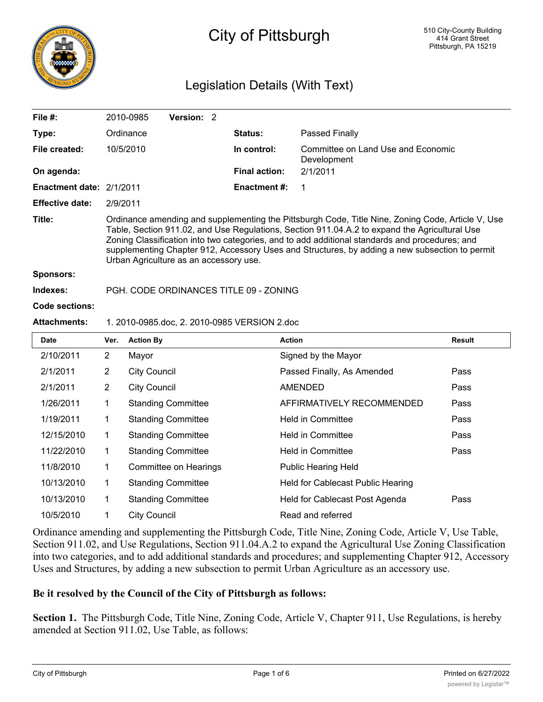

# City of Pittsburgh

# Legislation Details (With Text)

| File #:                  | 2010-0985                              | <b>Version: 2</b> |                                        |                                                                                                                                                                                                                                                                                                                                                                                                        |
|--------------------------|----------------------------------------|-------------------|----------------------------------------|--------------------------------------------------------------------------------------------------------------------------------------------------------------------------------------------------------------------------------------------------------------------------------------------------------------------------------------------------------------------------------------------------------|
| Type:                    | Ordinance                              |                   | <b>Status:</b>                         | Passed Finally                                                                                                                                                                                                                                                                                                                                                                                         |
| File created:            | 10/5/2010                              |                   | In control:                            | Committee on Land Use and Economic<br>Development                                                                                                                                                                                                                                                                                                                                                      |
| On agenda:               |                                        |                   | <b>Final action:</b>                   | 2/1/2011                                                                                                                                                                                                                                                                                                                                                                                               |
| Enactment date: 2/1/2011 |                                        |                   | Enactment #:                           | -1                                                                                                                                                                                                                                                                                                                                                                                                     |
| <b>Effective date:</b>   | 2/9/2011                               |                   |                                        |                                                                                                                                                                                                                                                                                                                                                                                                        |
| Title:                   | Urban Agriculture as an accessory use. |                   |                                        | Ordinance amending and supplementing the Pittsburgh Code, Title Nine, Zoning Code, Article V, Use<br>Table, Section 911.02, and Use Regulations, Section 911.04.A.2 to expand the Agricultural Use<br>Zoning Classification into two categories, and to add additional standards and procedures; and<br>supplementing Chapter 912, Accessory Uses and Structures, by adding a new subsection to permit |
| <b>Sponsors:</b>         |                                        |                   |                                        |                                                                                                                                                                                                                                                                                                                                                                                                        |
| Indexes:                 |                                        |                   | PGH, CODE ORDINANCES TITLE 09 - ZONING |                                                                                                                                                                                                                                                                                                                                                                                                        |

#### **Code sections:**

#### **Attachments:** 1. 2010-0985.doc, 2. 2010-0985 VERSION 2.doc

| <b>Date</b> | Ver.           | <b>Action By</b>          | <b>Action</b>                     | Result |
|-------------|----------------|---------------------------|-----------------------------------|--------|
| 2/10/2011   | $\overline{2}$ | Mayor                     | Signed by the Mayor               |        |
| 2/1/2011    | $\overline{2}$ | <b>City Council</b>       | Passed Finally, As Amended        | Pass   |
| 2/1/2011    | $\overline{2}$ | <b>City Council</b>       | <b>AMENDED</b>                    | Pass   |
| 1/26/2011   | 1              | <b>Standing Committee</b> | AFFIRMATIVELY RECOMMENDED         | Pass   |
| 1/19/2011   | 1              | <b>Standing Committee</b> | <b>Held in Committee</b>          | Pass   |
| 12/15/2010  | 1              | <b>Standing Committee</b> | <b>Held in Committee</b>          | Pass   |
| 11/22/2010  | 1              | <b>Standing Committee</b> | <b>Held in Committee</b>          | Pass   |
| 11/8/2010   | 1              | Committee on Hearings     | <b>Public Hearing Held</b>        |        |
| 10/13/2010  | 1              | <b>Standing Committee</b> | Held for Cablecast Public Hearing |        |
| 10/13/2010  | 1              | <b>Standing Committee</b> | Held for Cablecast Post Agenda    | Pass   |
| 10/5/2010   |                | <b>City Council</b>       | Read and referred                 |        |

Ordinance amending and supplementing the Pittsburgh Code, Title Nine, Zoning Code, Article V, Use Table, Section 911.02, and Use Regulations, Section 911.04.A.2 to expand the Agricultural Use Zoning Classification into two categories, and to add additional standards and procedures; and supplementing Chapter 912, Accessory Uses and Structures, by adding a new subsection to permit Urban Agriculture as an accessory use.

## **Be it resolved by the Council of the City of Pittsburgh as follows:**

**Section 1.** The Pittsburgh Code, Title Nine, Zoning Code, Article V, Chapter 911, Use Regulations, is hereby amended at Section 911.02, Use Table, as follows: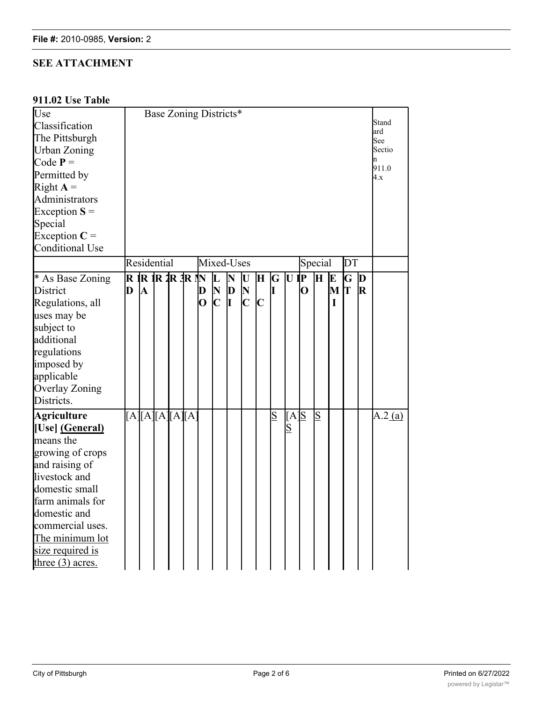## **SEE ATTACHMENT**

## **911.02 Use Table**

| Use<br>Classification<br>The Pittsburgh |   |                                            |  |                         |  |                              |                         | Base Zoning Districts* |                             |              |                |                                    |             |                           |   |                            |             | Stand<br>ard<br>See |
|-----------------------------------------|---|--------------------------------------------|--|-------------------------|--|------------------------------|-------------------------|------------------------|-----------------------------|--------------|----------------|------------------------------------|-------------|---------------------------|---|----------------------------|-------------|---------------------|
| Urban Zoning                            |   |                                            |  |                         |  |                              |                         |                        |                             |              |                |                                    |             |                           |   |                            |             | Sectio<br>'n        |
| Code $P =$                              |   |                                            |  |                         |  |                              |                         |                        |                             |              |                |                                    |             |                           |   |                            |             | 911.0               |
| Permitted by<br>Right $A =$             |   |                                            |  |                         |  |                              |                         |                        |                             |              |                |                                    |             |                           |   |                            | 4.x         |                     |
| Administrators                          |   |                                            |  |                         |  |                              |                         |                        |                             |              |                |                                    |             |                           |   |                            |             |                     |
| Exception $S =$                         |   |                                            |  |                         |  |                              |                         |                        |                             |              |                |                                    |             |                           |   |                            |             |                     |
| Special                                 |   |                                            |  |                         |  |                              |                         |                        |                             |              |                |                                    |             |                           |   |                            |             |                     |
| Exception $C =$                         |   |                                            |  |                         |  |                              |                         |                        |                             |              |                |                                    |             |                           |   |                            |             |                     |
| <b>Conditional Use</b>                  |   |                                            |  |                         |  |                              |                         |                        |                             |              |                |                                    |             |                           |   |                            |             |                     |
|                                         |   | Residential<br>Mixed-Uses<br>Special<br>DT |  |                         |  |                              |                         |                        |                             |              |                |                                    |             |                           |   |                            |             |                     |
|                                         |   |                                            |  | R <b>IR IR 2R 3R IN</b> |  |                              |                         |                        |                             |              |                |                                    |             | $\mathbf{H}$<br><b>IE</b> |   | $\overline{G}$<br>$\bf{D}$ |             |                     |
| * As Base Zoning                        | D |                                            |  |                         |  |                              | $\overline{\mathbf{L}}$ | $\overline{\bf N}$     | $\mathbf{U}$                | $\mathbf{H}$ | $G$ U IP       |                                    |             |                           |   | Iт                         |             |                     |
| District                                |   | A                                          |  |                         |  | D<br>$\overline{\mathbf{O}}$ | N<br>$\mathbf{C}$       | $\bf{D}$<br>I          | $\mathbf N$<br>$\mathbf{C}$ | $\mathbf{C}$ | I              |                                    | $\mathbf O$ |                           | M |                            | $\mathbf R$ |                     |
| Regulations, all                        |   |                                            |  |                         |  |                              |                         |                        |                             |              |                |                                    |             |                           | I |                            |             |                     |
| uses may be                             |   |                                            |  |                         |  |                              |                         |                        |                             |              |                |                                    |             |                           |   |                            |             |                     |
| subject to<br>additional                |   |                                            |  |                         |  |                              |                         |                        |                             |              |                |                                    |             |                           |   |                            |             |                     |
| regulations                             |   |                                            |  |                         |  |                              |                         |                        |                             |              |                |                                    |             |                           |   |                            |             |                     |
| imposed by                              |   |                                            |  |                         |  |                              |                         |                        |                             |              |                |                                    |             |                           |   |                            |             |                     |
| applicable                              |   |                                            |  |                         |  |                              |                         |                        |                             |              |                |                                    |             |                           |   |                            |             |                     |
| Overlay Zoning                          |   |                                            |  |                         |  |                              |                         |                        |                             |              |                |                                    |             |                           |   |                            |             |                     |
| Districts.                              |   |                                            |  |                         |  |                              |                         |                        |                             |              |                |                                    |             |                           |   |                            |             |                     |
|                                         |   |                                            |  |                         |  |                              |                         |                        |                             |              |                |                                    |             |                           |   |                            |             |                     |
| <b>Agriculture</b>                      |   |                                            |  | [A][A][A][A][A]         |  |                              |                         |                        |                             |              | $\overline{S}$ | $[A]$ S<br>$\overline{\mathbf{S}}$ |             | $\overline{S}$            |   |                            |             | A.2(a)              |
| [Use] (General)<br>means the            |   |                                            |  |                         |  |                              |                         |                        |                             |              |                |                                    |             |                           |   |                            |             |                     |
|                                         |   |                                            |  |                         |  |                              |                         |                        |                             |              |                |                                    |             |                           |   |                            |             |                     |
| growing of crops<br>and raising of      |   |                                            |  |                         |  |                              |                         |                        |                             |              |                |                                    |             |                           |   |                            |             |                     |
| livestock and                           |   |                                            |  |                         |  |                              |                         |                        |                             |              |                |                                    |             |                           |   |                            |             |                     |
| domestic small                          |   |                                            |  |                         |  |                              |                         |                        |                             |              |                |                                    |             |                           |   |                            |             |                     |
| farm animals for                        |   |                                            |  |                         |  |                              |                         |                        |                             |              |                |                                    |             |                           |   |                            |             |                     |
| domestic and                            |   |                                            |  |                         |  |                              |                         |                        |                             |              |                |                                    |             |                           |   |                            |             |                     |
| commercial uses.                        |   |                                            |  |                         |  |                              |                         |                        |                             |              |                |                                    |             |                           |   |                            |             |                     |
| The minimum lot                         |   |                                            |  |                         |  |                              |                         |                        |                             |              |                |                                    |             |                           |   |                            |             |                     |
| size required is                        |   |                                            |  |                         |  |                              |                         |                        |                             |              |                |                                    |             |                           |   |                            |             |                     |
| three $(3)$ acres.                      |   |                                            |  |                         |  |                              |                         |                        |                             |              |                |                                    |             |                           |   |                            |             |                     |

and commercial commercial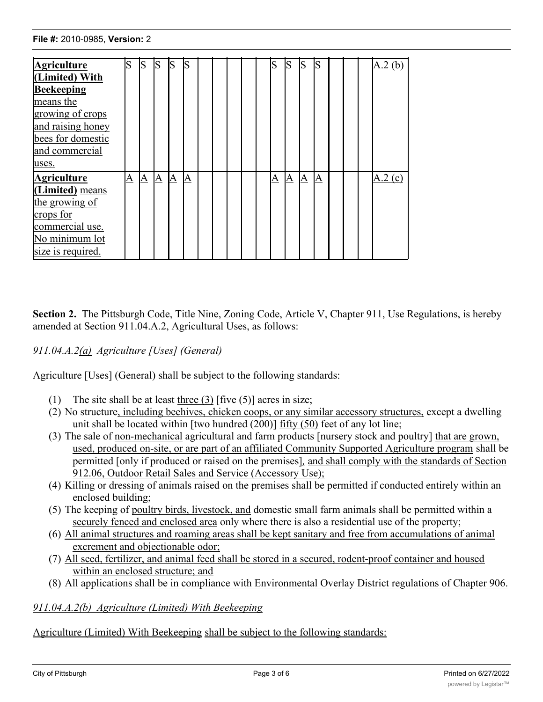The minimum lot

| <b>Agriculture</b> |   | S | $\overline{S}$  | $\overline{\mathbf{S}}$ | S |  |  | $\overline{\mathbf{S}}$ |   | $\overline{S}$ | $\overline{\mathbf{S}}$ |  | A.2(b) |
|--------------------|---|---|-----------------|-------------------------|---|--|--|-------------------------|---|----------------|-------------------------|--|--------|
| (Limited) With     |   |   |                 |                         |   |  |  |                         |   |                |                         |  |        |
| <b>Beekeeping</b>  |   |   |                 |                         |   |  |  |                         |   |                |                         |  |        |
| means the          |   |   |                 |                         |   |  |  |                         |   |                |                         |  |        |
| growing of crops   |   |   |                 |                         |   |  |  |                         |   |                |                         |  |        |
| and raising honey  |   |   |                 |                         |   |  |  |                         |   |                |                         |  |        |
| bees for domestic  |   |   |                 |                         |   |  |  |                         |   |                |                         |  |        |
| and commercial     |   |   |                 |                         |   |  |  |                         |   |                |                         |  |        |
| uses.              |   |   |                 |                         |   |  |  |                         |   |                |                         |  |        |
| <b>Agriculture</b> | A | A | $\underline{A}$ | $\Delta$                | A |  |  | A                       | A | $\Delta$       | $\Delta$                |  | A.2(c) |
| (Limited) means    |   |   |                 |                         |   |  |  |                         |   |                |                         |  |        |
| the growing of     |   |   |                 |                         |   |  |  |                         |   |                |                         |  |        |
| crops for          |   |   |                 |                         |   |  |  |                         |   |                |                         |  |        |
| commercial use.    |   |   |                 |                         |   |  |  |                         |   |                |                         |  |        |
| No minimum lot     |   |   |                 |                         |   |  |  |                         |   |                |                         |  |        |
| size is required.  |   |   |                 |                         |   |  |  |                         |   |                |                         |  |        |

**Section 2.** The Pittsburgh Code, Title Nine, Zoning Code, Article V, Chapter 911, Use Regulations, is hereby amended at Section 911.04.A.2, Agricultural Uses, as follows:

## *911.04.A.2(a) Agriculture [Uses] (General)*

Agriculture [Uses] (General) shall be subject to the following standards:

- (1) The site shall be at least three  $(3)$  [five  $(5)$ ] acres in size;
- (2) No structure, including beehives, chicken coops, or any similar accessory structures, except a dwelling unit shall be located within [two hundred (200)] fifty (50) feet of any lot line;
- (3) The sale of non-mechanical agricultural and farm products [nursery stock and poultry] that are grown, used, produced on-site, or are part of an affiliated Community Supported Agriculture program shall be permitted [only if produced or raised on the premises]*,* and shall comply with the standards of Section 912.06, Outdoor Retail Sales and Service (Accessory Use);
- (4) Killing or dressing of animals raised on the premises shall be permitted if conducted entirely within an enclosed building;
- (5) The keeping of poultry birds, livestock, and domestic small farm animals shall be permitted within a securely fenced and enclosed area only where there is also a residential use of the property;
- (6) All animal structures and roaming areas shall be kept sanitary and free from accumulations of animal excrement and objectionable odor;
- (7) All seed, fertilizer, and animal feed shall be stored in a secured, rodent-proof container and housed within an enclosed structure; and
- (8) All applications shall be in compliance with Environmental Overlay District regulations of Chapter 906.

## *911.04.A.2(b) Agriculture (Limited) With Beekeeping*

Agriculture (Limited) With Beekeeping shall be subject to the following standards: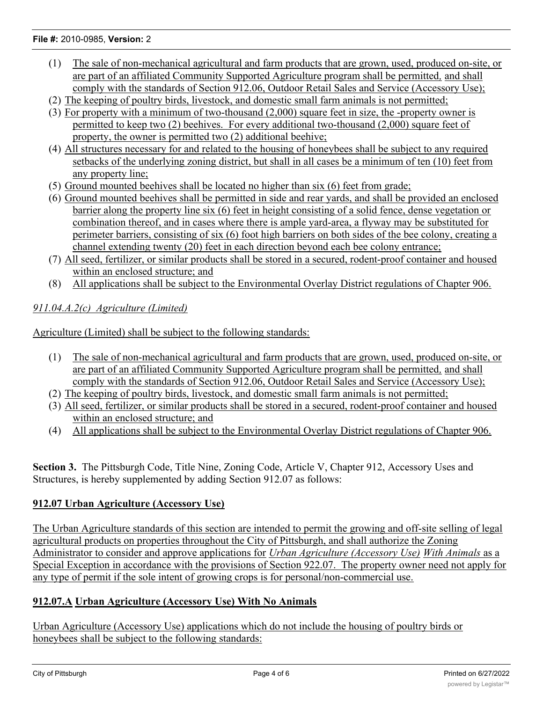#### **File #:** 2010-0985, **Version:** 2

- (1) The sale of non-mechanical agricultural and farm products that are grown, used, produced on-site, or are part of an affiliated Community Supported Agriculture program shall be permitted*,* and shall comply with the standards of Section 912.06, Outdoor Retail Sales and Service (Accessory Use);
- (2) The keeping of poultry birds, livestock, and domestic small farm animals is not permitted;
- (3) For property with a minimum of two-thousand (2,000) square feet in size, the -property owner is
- permitted to keep two (2) beehives. For every additional two-thousand (2,000) square feet of property, the owner is permitted two (2) additional beehive;
- (4) All structures necessary for and related to the housing of honeybees shall be subject to any required setbacks of the underlying zoning district, but shall in all cases be a minimum of ten (10) feet from any property line;
- (5) Ground mounted beehives shall be located no higher than six (6) feet from grade;
- (6) Ground mounted beehives shall be permitted in side and rear yards, and shall be provided an enclosed barrier along the property line six (6) feet in height consisting of a solid fence, dense vegetation or combination thereof, and in cases where there is ample yard-area, a flyway may be substituted for perimeter barriers, consisting of six (6) foot high barriers on both sides of the bee colony, creating a channel extending twenty (20) feet in each direction beyond each bee colony entrance;
- (7) All seed, fertilizer, or similar products shall be stored in a secured, rodent-proof container and housed within an enclosed structure; and
- (8) All applications shall be subject to the Environmental Overlay District regulations of Chapter 906.

## *911.04.A.2(c) Agriculture (Limited)*

Agriculture (Limited) shall be subject to the following standards:

- (1) The sale of non-mechanical agricultural and farm products that are grown, used, produced on-site, or are part of an affiliated Community Supported Agriculture program shall be permitted*,* and shall comply with the standards of Section 912.06, Outdoor Retail Sales and Service (Accessory Use);
- (2) The keeping of poultry birds, livestock, and domestic small farm animals is not permitted;
- (3) All seed, fertilizer, or similar products shall be stored in a secured, rodent-proof container and housed within an enclosed structure; and
- (4) All applications shall be subject to the Environmental Overlay District regulations of Chapter 906.

**Section 3.** The Pittsburgh Code, Title Nine, Zoning Code, Article V, Chapter 912, Accessory Uses and Structures, is hereby supplemented by adding Section 912.07 as follows:

## **912.07 Urban Agriculture (Accessory Use)**

The Urban Agriculture standards of this section are intended to permit the growing and off-site selling of legal agricultural products on properties throughout the City of Pittsburgh, and shall authorize the Zoning Administrator to consider and approve applications for *Urban Agriculture (Accessory Use) With Animals* as a Special Exception in accordance with the provisions of Section 922.07. The property owner need not apply for any type of permit if the sole intent of growing crops is for personal/non-commercial use.

## **912.07.A Urban Agriculture (Accessory Use) With No Animals**

Urban Agriculture (Accessory Use) applications which do not include the housing of poultry birds or honeybees shall be subject to the following standards: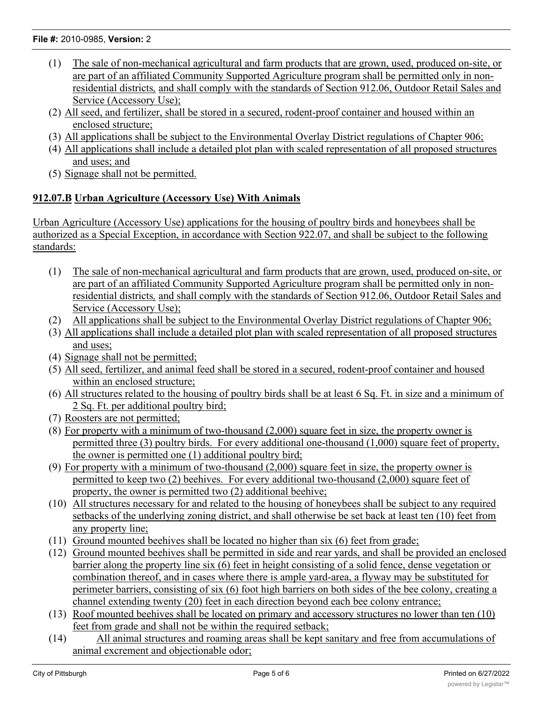#### **File #:** 2010-0985, **Version:** 2

- (1) The sale of non-mechanical agricultural and farm products that are grown, used, produced on-site, or are part of an affiliated Community Supported Agriculture program shall be permitted only in nonresidential districts*,* and shall comply with the standards of Section 912.06, Outdoor Retail Sales and Service (Accessory Use);
- (2) All seed, and fertilizer, shall be stored in a secured, rodent-proof container and housed within an enclosed structure;
- (3) All applications shall be subject to the Environmental Overlay District regulations of Chapter 906;
- (4) All applications shall include a detailed plot plan with scaled representation of all proposed structures and uses; and
- (5) Signage shall not be permitted.

## **912.07.B Urban Agriculture (Accessory Use) With Animals**

Urban Agriculture (Accessory Use) applications for the housing of poultry birds and honeybees shall be authorized as a Special Exception, in accordance with Section 922.07, and shall be subject to the following standards:

- (1) The sale of non-mechanical agricultural and farm products that are grown, used, produced on-site, or are part of an affiliated Community Supported Agriculture program shall be permitted only in nonresidential districts*,* and shall comply with the standards of Section 912.06, Outdoor Retail Sales and Service (Accessory Use);
- (2) All applications shall be subject to the Environmental Overlay District regulations of Chapter 906;
- (3) All applications shall include a detailed plot plan with scaled representation of all proposed structures and uses;
- (4) Signage shall not be permitted;
- (5) All seed, fertilizer, and animal feed shall be stored in a secured, rodent-proof container and housed within an enclosed structure;
- (6) All structures related to the housing of poultry birds shall be at least 6 Sq. Ft. in size and a minimum of 2 Sq. Ft. per additional poultry bird;
- (7) Roosters are not permitted;
- (8) For property with a minimum of two-thousand  $(2,000)$  square feet in size, the property owner is permitted three (3) poultry birds. For every additional one-thousand (1,000) square feet of property, the owner is permitted one (1) additional poultry bird;
- (9) For property with a minimum of two-thousand (2,000) square feet in size, the property owner is permitted to keep two (2) beehives. For every additional two-thousand (2,000) square feet of property, the owner is permitted two (2) additional beehive;
- (10) All structures necessary for and related to the housing of honeybees shall be subject to any required setbacks of the underlying zoning district, and shall otherwise be set back at least ten (10) feet from any property line;
- (11) Ground mounted beehives shall be located no higher than six (6) feet from grade;
- (12) Ground mounted beehives shall be permitted in side and rear yards, and shall be provided an enclosed barrier along the property line six (6) feet in height consisting of a solid fence, dense vegetation or combination thereof, and in cases where there is ample yard-area, a flyway may be substituted for perimeter barriers, consisting of six (6) foot high barriers on both sides of the bee colony, creating a channel extending twenty (20) feet in each direction beyond each bee colony entrance;
- (13) Roof mounted beehives shall be located on primary and accessory structures no lower than ten (10) feet from grade and shall not be within the required setback;
- (14) All animal structures and roaming areas shall be kept sanitary and free from accumulations of animal excrement and objectionable odor;